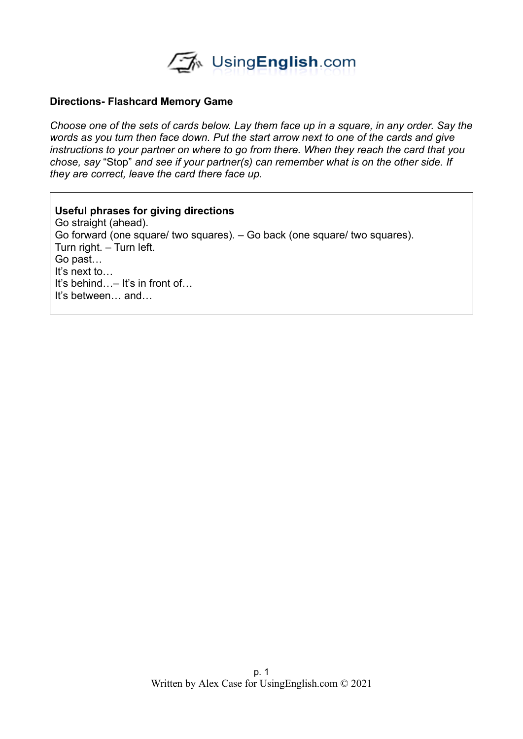

## **Directions- Flashcard Memory Game**

*Choose one of the sets of cards below. Lay them face up in a square, in any order. Say the words as you turn then face down. Put the start arrow next to one of the cards and give instructions to your partner on where to go from there. When they reach the card that you chose, say* "Stop" *and see if your partner(s) can remember what is on the other side. If they are correct, leave the card there face up.* 

## **Useful phrases for giving directions**

Go straight (ahead). Go forward (one square/ two squares). – Go back (one square/ two squares). Turn right. – Turn left. Go past… It's next to… It's behind…– It's in front of… It's between… and…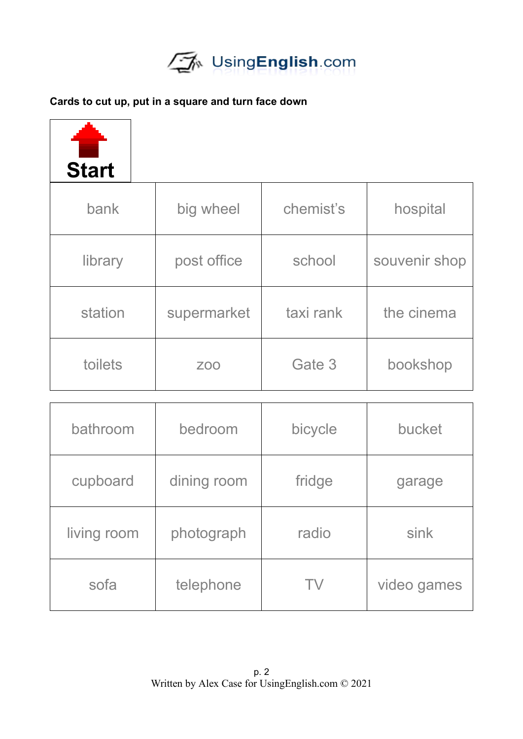

## **Cards to cut up, put in a square and turn face down**

| <b>Start</b> |             |           |               |
|--------------|-------------|-----------|---------------|
| bank         | big wheel   | chemist's | hospital      |
| library      | post office | school    | souvenir shop |
| station      | supermarket | taxi rank | the cinema    |
| toilets      | <b>ZOO</b>  | Gate 3    | bookshop      |
|              |             |           |               |

| bathroom    | bedroom     | bicycle | bucket      |
|-------------|-------------|---------|-------------|
| cupboard    | dining room | fridge  | garage      |
| living room | photograph  | radio   | sink        |
| sofa        | telephone   | TV      | video games |